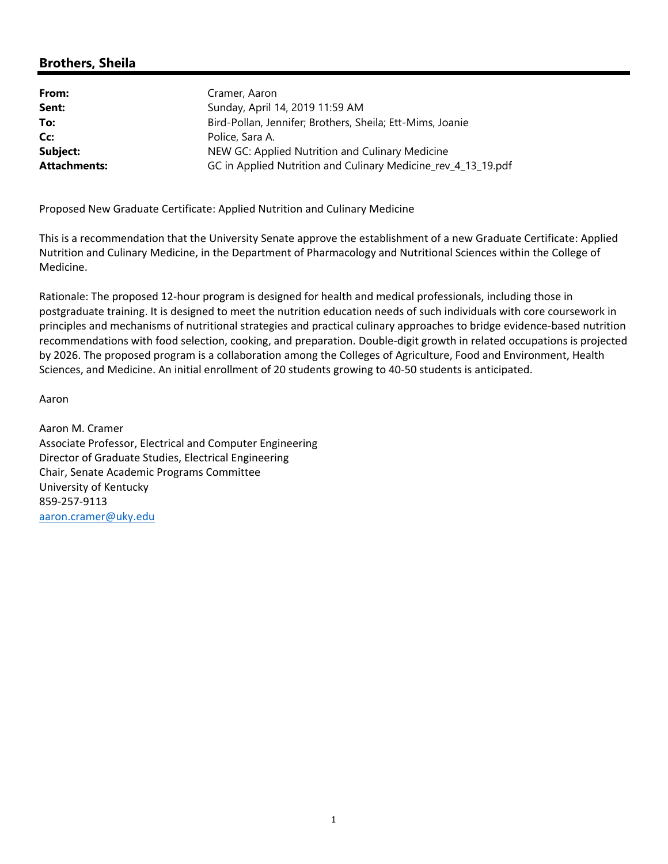# **Brothers, Sheila**

| Cramer, Aaron                                                 |
|---------------------------------------------------------------|
| Sunday, April 14, 2019 11:59 AM                               |
| Bird-Pollan, Jennifer; Brothers, Sheila; Ett-Mims, Joanie     |
| Police, Sara A.                                               |
| NEW GC: Applied Nutrition and Culinary Medicine               |
| GC in Applied Nutrition and Culinary Medicine_rev_4_13_19.pdf |
|                                                               |

Proposed New Graduate Certificate: Applied Nutrition and Culinary Medicine

This is a recommendation that the University Senate approve the establishment of a new Graduate Certificate: Applied Nutrition and Culinary Medicine, in the Department of Pharmacology and Nutritional Sciences within the College of Medicine.

Rationale: The proposed 12‐hour program is designed for health and medical professionals, including those in postgraduate training. It is designed to meet the nutrition education needs of such individuals with core coursework in principles and mechanisms of nutritional strategies and practical culinary approaches to bridge evidence‐based nutrition recommendations with food selection, cooking, and preparation. Double‐digit growth in related occupations is projected by 2026. The proposed program is a collaboration among the Colleges of Agriculture, Food and Environment, Health Sciences, and Medicine. An initial enrollment of 20 students growing to 40‐50 students is anticipated.

Aaron

Aaron M. Cramer Associate Professor, Electrical and Computer Engineering Director of Graduate Studies, Electrical Engineering Chair, Senate Academic Programs Committee University of Kentucky 859‐257‐9113 aaron.cramer@uky.edu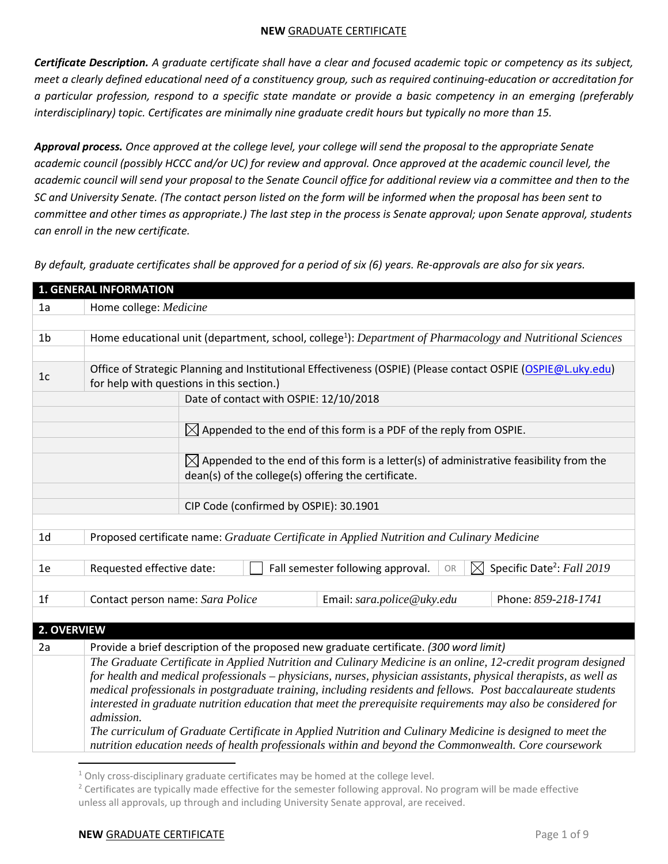*Certificate Description. A graduate certificate shall have a clear and focused academic topic or competency as its subject, meet a clearly defined educational need of a constituency group, such as required continuing-education or accreditation for a particular profession, respond to a specific state mandate or provide a basic competency in an emerging (preferably interdisciplinary) topic. Certificates are minimally nine graduate credit hours but typically no more than 15.* 

*Approval process. Once approved at the college level, your college will send the proposal to the appropriate Senate*  academic council (possibly HCCC and/or UC) for review and approval. Once approved at the academic council level, the *academic council will send your proposal to the Senate Council office for additional review via a committee and then to the SC and University Senate. (The contact person listed on the form will be informed when the proposal has been sent to committee and other times as appropriate.) The last step in the process is Senate approval; upon Senate approval, students can enroll in the new certificate.*

*By default, graduate certificates shall be approved for a period of six (6) years. Re-approvals are also for six years.*

| <b>1. GENERAL INFORMATION</b> |                                                                                                                                                           |  |  |  |  |  |
|-------------------------------|-----------------------------------------------------------------------------------------------------------------------------------------------------------|--|--|--|--|--|
| 1a                            | Home college: Medicine                                                                                                                                    |  |  |  |  |  |
|                               |                                                                                                                                                           |  |  |  |  |  |
| 1 <sub>b</sub>                | Home educational unit (department, school, college <sup>1</sup> ): Department of Pharmacology and Nutritional Sciences                                    |  |  |  |  |  |
|                               |                                                                                                                                                           |  |  |  |  |  |
| 1 <sub>c</sub>                | Office of Strategic Planning and Institutional Effectiveness (OSPIE) (Please contact OSPIE (OSPIE@L.uky.edu)<br>for help with questions in this section.) |  |  |  |  |  |
|                               | Date of contact with OSPIE: 12/10/2018                                                                                                                    |  |  |  |  |  |
|                               |                                                                                                                                                           |  |  |  |  |  |
|                               | $\boxtimes$ Appended to the end of this form is a PDF of the reply from OSPIE.                                                                            |  |  |  |  |  |
|                               |                                                                                                                                                           |  |  |  |  |  |
|                               | $\boxtimes$ Appended to the end of this form is a letter(s) of administrative feasibility from the                                                        |  |  |  |  |  |
|                               | dean(s) of the college(s) offering the certificate.                                                                                                       |  |  |  |  |  |
|                               |                                                                                                                                                           |  |  |  |  |  |
|                               | CIP Code (confirmed by OSPIE): 30.1901                                                                                                                    |  |  |  |  |  |
|                               |                                                                                                                                                           |  |  |  |  |  |
| 1 <sub>d</sub>                | Proposed certificate name: Graduate Certificate in Applied Nutrition and Culinary Medicine                                                                |  |  |  |  |  |
|                               |                                                                                                                                                           |  |  |  |  |  |
| 1e                            | Specific Date <sup>2</sup> : Fall 2019<br>$\boxtimes$<br>Requested effective date:<br>Fall semester following approval.<br>OR                             |  |  |  |  |  |
|                               |                                                                                                                                                           |  |  |  |  |  |
| 1 <sub>f</sub>                | Contact person name: Sara Police<br>Phone: 859-218-1741<br>Email: sara.police@uky.edu                                                                     |  |  |  |  |  |
|                               |                                                                                                                                                           |  |  |  |  |  |
| 2. OVERVIEW                   |                                                                                                                                                           |  |  |  |  |  |
| 2a                            | Provide a brief description of the proposed new graduate certificate. (300 word limit)                                                                    |  |  |  |  |  |
|                               | The Graduate Certificate in Applied Nutrition and Culinary Medicine is an online, 12-credit program designed                                              |  |  |  |  |  |
|                               | for health and medical professionals – physicians, nurses, physician assistants, physical therapists, as well as                                          |  |  |  |  |  |
|                               | medical professionals in postgraduate training, including residents and fellows. Post baccalaureate students                                              |  |  |  |  |  |
|                               | interested in graduate nutrition education that meet the prerequisite requirements may also be considered for                                             |  |  |  |  |  |
|                               | admission.<br>The curriculum of Graduate Certificate in Applied Nutrition and Culinary Medicine is designed to meet the                                   |  |  |  |  |  |
|                               | nutrition education needs of health professionals within and beyond the Commonwealth. Core coursework                                                     |  |  |  |  |  |
|                               |                                                                                                                                                           |  |  |  |  |  |

 $1$  Only cross-disciplinary graduate certificates may be homed at the college level.

<sup>&</sup>lt;sup>2</sup> Certificates are typically made effective for the semester following approval. No program will be made effective unless all approvals, up through and including University Senate approval, are received.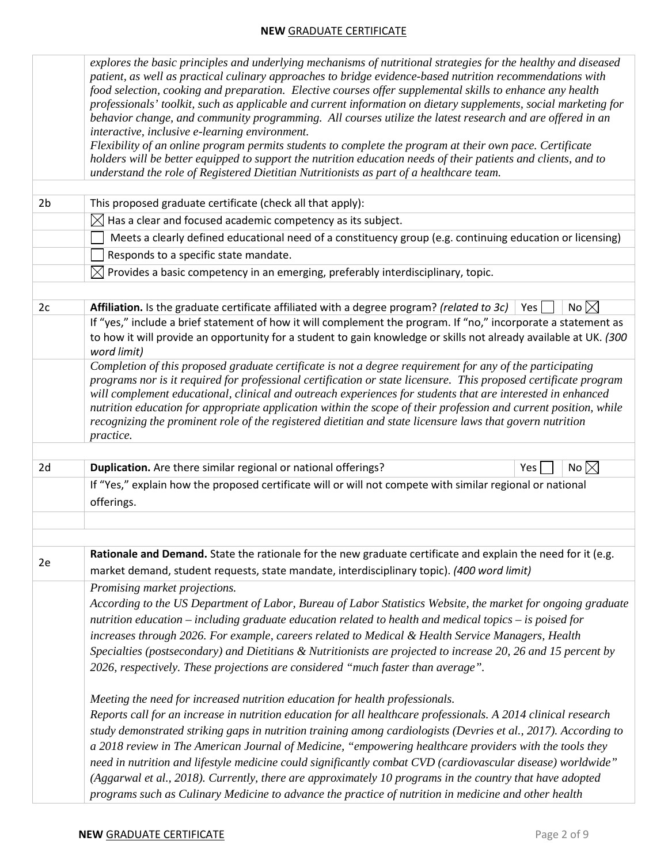|                | explores the basic principles and underlying mechanisms of nutritional strategies for the healthy and diseased<br>patient, as well as practical culinary approaches to bridge evidence-based nutrition recommendations with<br>food selection, cooking and preparation. Elective courses offer supplemental skills to enhance any health<br>professionals' toolkit, such as applicable and current information on dietary supplements, social marketing for<br>behavior change, and community programming. All courses utilize the latest research and are offered in an<br>interactive, inclusive e-learning environment.<br>Flexibility of an online program permits students to complete the program at their own pace. Certificate<br>holders will be better equipped to support the nutrition education needs of their patients and clients, and to<br>understand the role of Registered Dietitian Nutritionists as part of a healthcare team. |  |  |  |  |
|----------------|-----------------------------------------------------------------------------------------------------------------------------------------------------------------------------------------------------------------------------------------------------------------------------------------------------------------------------------------------------------------------------------------------------------------------------------------------------------------------------------------------------------------------------------------------------------------------------------------------------------------------------------------------------------------------------------------------------------------------------------------------------------------------------------------------------------------------------------------------------------------------------------------------------------------------------------------------------|--|--|--|--|
| 2 <sub>b</sub> | This proposed graduate certificate (check all that apply):                                                                                                                                                                                                                                                                                                                                                                                                                                                                                                                                                                                                                                                                                                                                                                                                                                                                                          |  |  |  |  |
|                | $\boxtimes$ Has a clear and focused academic competency as its subject.                                                                                                                                                                                                                                                                                                                                                                                                                                                                                                                                                                                                                                                                                                                                                                                                                                                                             |  |  |  |  |
|                | Meets a clearly defined educational need of a constituency group (e.g. continuing education or licensing)                                                                                                                                                                                                                                                                                                                                                                                                                                                                                                                                                                                                                                                                                                                                                                                                                                           |  |  |  |  |
|                | Responds to a specific state mandate.                                                                                                                                                                                                                                                                                                                                                                                                                                                                                                                                                                                                                                                                                                                                                                                                                                                                                                               |  |  |  |  |
|                | $\boxtimes$ Provides a basic competency in an emerging, preferably interdisciplinary, topic.                                                                                                                                                                                                                                                                                                                                                                                                                                                                                                                                                                                                                                                                                                                                                                                                                                                        |  |  |  |  |
|                |                                                                                                                                                                                                                                                                                                                                                                                                                                                                                                                                                                                                                                                                                                                                                                                                                                                                                                                                                     |  |  |  |  |
| 2c             | No $\boxtimes$<br>Affiliation. Is the graduate certificate affiliated with a degree program? (related to 3c)<br>Yes<br>If "yes," include a brief statement of how it will complement the program. If "no," incorporate a statement as<br>to how it will provide an opportunity for a student to gain knowledge or skills not already available at UK. (300                                                                                                                                                                                                                                                                                                                                                                                                                                                                                                                                                                                          |  |  |  |  |
|                | word limit)<br>Completion of this proposed graduate certificate is not a degree requirement for any of the participating<br>programs nor is it required for professional certification or state licensure. This proposed certificate program<br>will complement educational, clinical and outreach experiences for students that are interested in enhanced<br>nutrition education for appropriate application within the scope of their profession and current position, while<br>recognizing the prominent role of the registered dietitian and state licensure laws that govern nutrition<br>practice.                                                                                                                                                                                                                                                                                                                                           |  |  |  |  |
|                |                                                                                                                                                                                                                                                                                                                                                                                                                                                                                                                                                                                                                                                                                                                                                                                                                                                                                                                                                     |  |  |  |  |
| 2d             | No $\boxtimes$<br>Duplication. Are there similar regional or national offerings?<br>Yes                                                                                                                                                                                                                                                                                                                                                                                                                                                                                                                                                                                                                                                                                                                                                                                                                                                             |  |  |  |  |
|                | If "Yes," explain how the proposed certificate will or will not compete with similar regional or national<br>offerings.                                                                                                                                                                                                                                                                                                                                                                                                                                                                                                                                                                                                                                                                                                                                                                                                                             |  |  |  |  |
|                |                                                                                                                                                                                                                                                                                                                                                                                                                                                                                                                                                                                                                                                                                                                                                                                                                                                                                                                                                     |  |  |  |  |
| 2e             | Rationale and Demand. State the rationale for the new graduate certificate and explain the need for it (e.g.<br>market demand, student requests, state mandate, interdisciplinary topic). (400 word limit)                                                                                                                                                                                                                                                                                                                                                                                                                                                                                                                                                                                                                                                                                                                                          |  |  |  |  |
|                | Promising market projections.<br>According to the US Department of Labor, Bureau of Labor Statistics Website, the market for ongoing graduate<br>nutrition education – including graduate education related to health and medical topics – is poised for<br>increases through 2026. For example, careers related to Medical & Health Service Managers, Health<br>Specialties (postsecondary) and Dietitians & Nutritionists are projected to increase 20, 26 and 15 percent by<br>2026, respectively. These projections are considered "much faster than average".                                                                                                                                                                                                                                                                                                                                                                                  |  |  |  |  |
|                | Meeting the need for increased nutrition education for health professionals.<br>Reports call for an increase in nutrition education for all healthcare professionals. A 2014 clinical research<br>study demonstrated striking gaps in nutrition training among cardiologists (Devries et al., 2017). According to<br>a 2018 review in The American Journal of Medicine, "empowering healthcare providers with the tools they<br>need in nutrition and lifestyle medicine could significantly combat CVD (cardiovascular disease) worldwide"<br>(Aggarwal et al., 2018). Currently, there are approximately 10 programs in the country that have adopted<br>programs such as Culinary Medicine to advance the practice of nutrition in medicine and other health                                                                                                                                                                                     |  |  |  |  |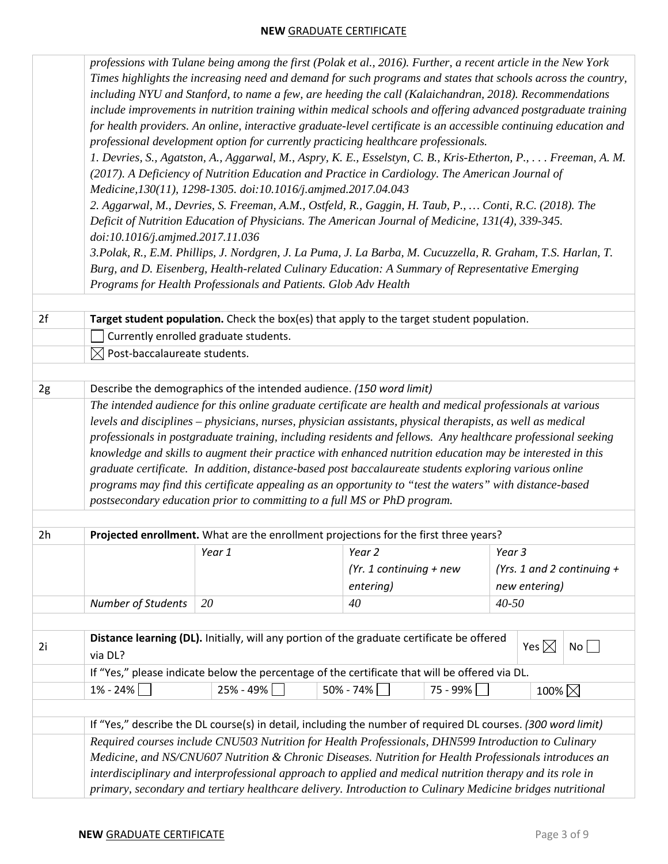|    | professions with Tulane being among the first (Polak et al., 2016). Further, a recent article in the New York |                                                                      |                                                                                                                   |                              |  |  |  |
|----|---------------------------------------------------------------------------------------------------------------|----------------------------------------------------------------------|-------------------------------------------------------------------------------------------------------------------|------------------------------|--|--|--|
|    | Times highlights the increasing need and demand for such programs and states that schools across the country, |                                                                      |                                                                                                                   |                              |  |  |  |
|    | including NYU and Stanford, to name a few, are heeding the call (Kalaichandran, 2018). Recommendations        |                                                                      |                                                                                                                   |                              |  |  |  |
|    | include improvements in nutrition training within medical schools and offering advanced postgraduate training |                                                                      |                                                                                                                   |                              |  |  |  |
|    |                                                                                                               |                                                                      | for health providers. An online, interactive graduate-level certificate is an accessible continuing education and |                              |  |  |  |
|    |                                                                                                               |                                                                      | professional development option for currently practicing healthcare professionals.                                |                              |  |  |  |
|    |                                                                                                               |                                                                      | 1. Devries, S., Agatston, A., Aggarwal, M., Aspry, K. E., Esselstyn, C. B., Kris-Etherton, P., Freeman, A. M.     |                              |  |  |  |
|    |                                                                                                               |                                                                      | (2017). A Deficiency of Nutrition Education and Practice in Cardiology. The American Journal of                   |                              |  |  |  |
|    |                                                                                                               | Medicine, 130(11), 1298-1305. doi:10.1016/j.amjmed.2017.04.043       |                                                                                                                   |                              |  |  |  |
|    |                                                                                                               |                                                                      | 2. Aggarwal, M., Devries, S. Freeman, A.M., Ostfeld, R., Gaggin, H. Taub, P.,  Conti, R.C. (2018). The            |                              |  |  |  |
|    |                                                                                                               |                                                                      | Deficit of Nutrition Education of Physicians. The American Journal of Medicine, 131(4), 339-345.                  |                              |  |  |  |
|    | doi:10.1016/j.amjmed.2017.11.036                                                                              |                                                                      |                                                                                                                   |                              |  |  |  |
|    |                                                                                                               |                                                                      | 3. Polak, R., E.M. Phillips, J. Nordgren, J. La Puma, J. La Barba, M. Cucuzzella, R. Graham, T.S. Harlan, T.      |                              |  |  |  |
|    |                                                                                                               |                                                                      | Burg, and D. Eisenberg, Health-related Culinary Education: A Summary of Representative Emerging                   |                              |  |  |  |
|    |                                                                                                               | Programs for Health Professionals and Patients. Glob Adv Health      |                                                                                                                   |                              |  |  |  |
|    |                                                                                                               |                                                                      |                                                                                                                   |                              |  |  |  |
| 2f |                                                                                                               |                                                                      | Target student population. Check the box(es) that apply to the target student population.                         |                              |  |  |  |
|    |                                                                                                               | Currently enrolled graduate students.                                |                                                                                                                   |                              |  |  |  |
|    | $\boxtimes$ Post-baccalaureate students.                                                                      |                                                                      |                                                                                                                   |                              |  |  |  |
| 2g |                                                                                                               | Describe the demographics of the intended audience. (150 word limit) |                                                                                                                   |                              |  |  |  |
|    |                                                                                                               |                                                                      | The intended audience for this online graduate certificate are health and medical professionals at various        |                              |  |  |  |
|    |                                                                                                               |                                                                      |                                                                                                                   |                              |  |  |  |
|    |                                                                                                               |                                                                      | levels and disciplines – physicians, nurses, physician assistants, physical therapists, as well as medical        |                              |  |  |  |
|    |                                                                                                               |                                                                      | professionals in postgraduate training, including residents and fellows. Any healthcare professional seeking      |                              |  |  |  |
|    |                                                                                                               |                                                                      | knowledge and skills to augment their practice with enhanced nutrition education may be interested in this        |                              |  |  |  |
|    |                                                                                                               |                                                                      | graduate certificate. In addition, distance-based post baccalaureate students exploring various online            |                              |  |  |  |
|    |                                                                                                               |                                                                      | programs may find this certificate appealing as an opportunity to "test the waters" with distance-based           |                              |  |  |  |
|    | postsecondary education prior to committing to a full MS or PhD program.                                      |                                                                      |                                                                                                                   |                              |  |  |  |
| 2h | Projected enrollment. What are the enrollment projections for the first three years?                          |                                                                      |                                                                                                                   |                              |  |  |  |
|    |                                                                                                               | Year 1                                                               | Year 2                                                                                                            | Year 3                       |  |  |  |
|    |                                                                                                               |                                                                      | (Yr. 1 continuing $+$ new                                                                                         | (Yrs. 1 and 2 continuing $+$ |  |  |  |
|    |                                                                                                               |                                                                      | entering)                                                                                                         | new entering)                |  |  |  |
|    | Number of Students                                                                                            | 20                                                                   | 40                                                                                                                | $40 - 50$                    |  |  |  |
|    |                                                                                                               |                                                                      |                                                                                                                   |                              |  |  |  |
|    |                                                                                                               |                                                                      | Distance learning (DL). Initially, will any portion of the graduate certificate be offered                        |                              |  |  |  |
| 2i | Yes $\boxtimes$<br>No<br>via DL?                                                                              |                                                                      |                                                                                                                   |                              |  |  |  |
|    | If "Yes," please indicate below the percentage of the certificate that will be offered via DL.                |                                                                      |                                                                                                                   |                              |  |  |  |
|    | $1\% - 24\%$                                                                                                  | 25% - 49%                                                            | $50\% - 74\%$<br>75 - 99%                                                                                         | 100% $\boxtimes$             |  |  |  |
|    |                                                                                                               |                                                                      |                                                                                                                   |                              |  |  |  |
|    |                                                                                                               |                                                                      | If "Yes," describe the DL course(s) in detail, including the number of required DL courses. (300 word limit)      |                              |  |  |  |
|    |                                                                                                               |                                                                      | Required courses include CNU503 Nutrition for Health Professionals, DHN599 Introduction to Culinary               |                              |  |  |  |
|    | Medicine, and NS/CNU607 Nutrition & Chronic Diseases. Nutrition for Health Professionals introduces an        |                                                                      |                                                                                                                   |                              |  |  |  |
|    | interdisciplinary and interprofessional approach to applied and medical nutrition therapy and its role in     |                                                                      |                                                                                                                   |                              |  |  |  |
|    | primary, secondary and tertiary healthcare delivery. Introduction to Culinary Medicine bridges nutritional    |                                                                      |                                                                                                                   |                              |  |  |  |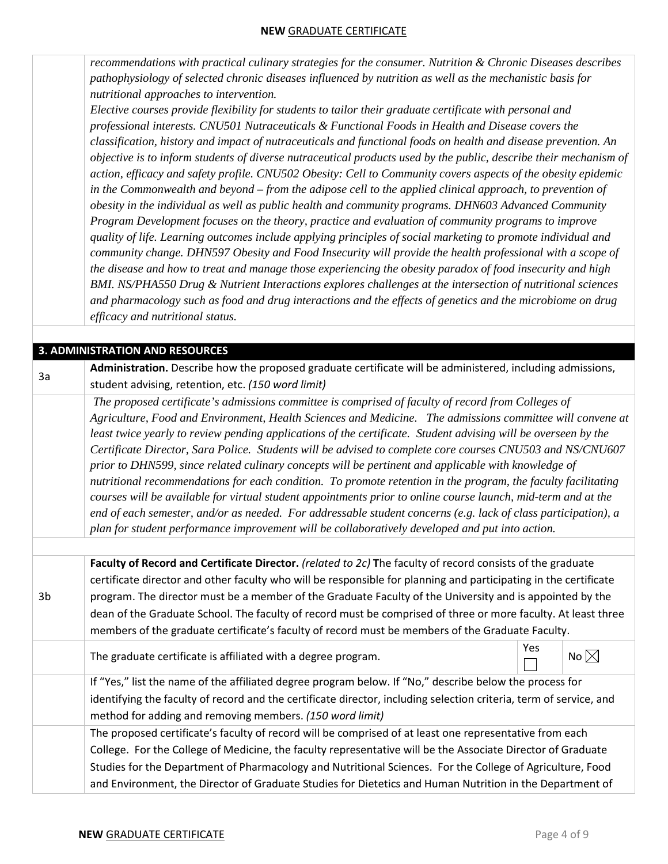*recommendations with practical culinary strategies for the consumer. Nutrition & Chronic Diseases describes pathophysiology of selected chronic diseases influenced by nutrition as well as the mechanistic basis for nutritional approaches to intervention.* 

*Elective courses provide flexibility for students to tailor their graduate certificate with personal and professional interests. CNU501 Nutraceuticals & Functional Foods in Health and Disease covers the classification, history and impact of nutraceuticals and functional foods on health and disease prevention. An objective is to inform students of diverse nutraceutical products used by the public, describe their mechanism of action, efficacy and safety profile. CNU502 Obesity: Cell to Community covers aspects of the obesity epidemic in the Commonwealth and beyond – from the adipose cell to the applied clinical approach, to prevention of obesity in the individual as well as public health and community programs. DHN603 Advanced Community Program Development focuses on the theory, practice and evaluation of community programs to improve quality of life. Learning outcomes include applying principles of social marketing to promote individual and community change. DHN597 Obesity and Food Insecurity will provide the health professional with a scope of the disease and how to treat and manage those experiencing the obesity paradox of food insecurity and high BMI. NS/PHA550 Drug & Nutrient Interactions explores challenges at the intersection of nutritional sciences and pharmacology such as food and drug interactions and the effects of genetics and the microbiome on drug efficacy and nutritional status.*

#### **3. ADMINISTRATION AND RESOURCES**

3a

3b

**Administration.** Describe how the proposed graduate certificate will be administered, including admissions, student advising, retention, etc. *(150 word limit)*

*The proposed certificate's admissions committee is comprised of faculty of record from Colleges of Agriculture, Food and Environment, Health Sciences and Medicine. The admissions committee will convene at least twice yearly to review pending applications of the certificate. Student advising will be overseen by the Certificate Director, Sara Police. Students will be advised to complete core courses CNU503 and NS/CNU607 prior to DHN599, since related culinary concepts will be pertinent and applicable with knowledge of nutritional recommendations for each condition. To promote retention in the program, the faculty facilitating courses will be available for virtual student appointments prior to online course launch, mid-term and at the end of each semester, and/or as needed. For addressable student concerns (e.g. lack of class participation), a plan for student performance improvement will be collaboratively developed and put into action.* 

**Faculty of Record and Certificate Director.** *(related to 2c)* **T**he faculty of record consists of the graduate certificate director and other faculty who will be responsible for planning and participating in the certificate program. The director must be a member of the Graduate Faculty of the University and is appointed by the dean of the Graduate School. The faculty of record must be comprised of three or more faculty. At least three members of the graduate certificate's faculty of record must be members of the Graduate Faculty.

The graduate certificate is affiliated with a degree program.

| Yes |                |
|-----|----------------|
|     | No $\boxtimes$ |

If "Yes," list the name of the affiliated degree program below. If "No," describe below the process for identifying the faculty of record and the certificate director, including selection criteria, term of service, and method for adding and removing members. *(150 word limit)*

The proposed certificate's faculty of record will be comprised of at least one representative from each College. For the College of Medicine, the faculty representative will be the Associate Director of Graduate Studies for the Department of Pharmacology and Nutritional Sciences. For the College of Agriculture, Food and Environment, the Director of Graduate Studies for Dietetics and Human Nutrition in the Department of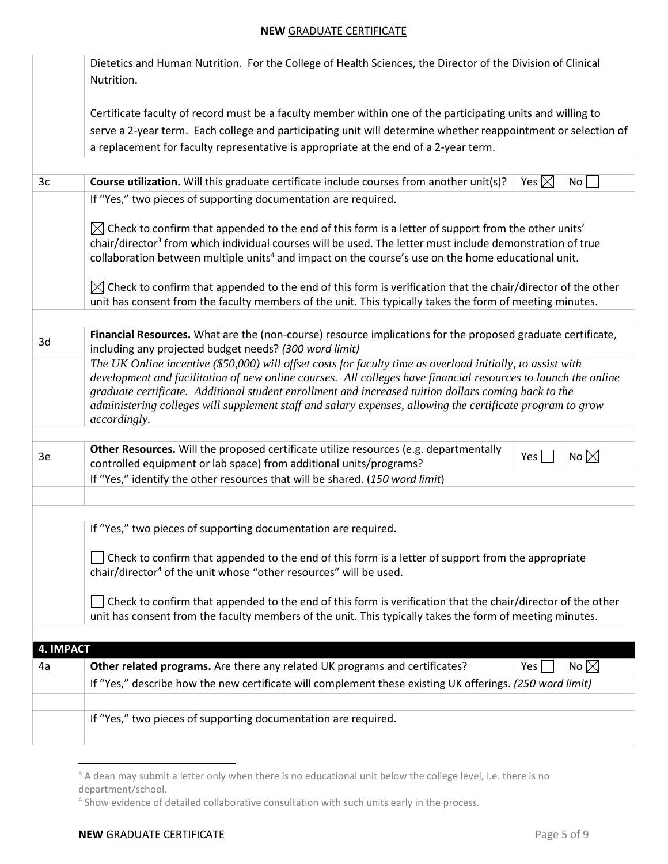|           | Dietetics and Human Nutrition. For the College of Health Sciences, the Director of the Division of Clinical                                                                                                                                                                                                                                                                                                                                                         |  |  |  |  |  |
|-----------|---------------------------------------------------------------------------------------------------------------------------------------------------------------------------------------------------------------------------------------------------------------------------------------------------------------------------------------------------------------------------------------------------------------------------------------------------------------------|--|--|--|--|--|
|           | Nutrition.                                                                                                                                                                                                                                                                                                                                                                                                                                                          |  |  |  |  |  |
|           | Certificate faculty of record must be a faculty member within one of the participating units and willing to                                                                                                                                                                                                                                                                                                                                                         |  |  |  |  |  |
|           | serve a 2-year term. Each college and participating unit will determine whether reappointment or selection of                                                                                                                                                                                                                                                                                                                                                       |  |  |  |  |  |
|           | a replacement for faculty representative is appropriate at the end of a 2-year term.                                                                                                                                                                                                                                                                                                                                                                                |  |  |  |  |  |
|           |                                                                                                                                                                                                                                                                                                                                                                                                                                                                     |  |  |  |  |  |
| 3c        | Course utilization. Will this graduate certificate include courses from another unit(s)?<br>Yes $\boxtimes$<br>No <sub>1</sub>                                                                                                                                                                                                                                                                                                                                      |  |  |  |  |  |
|           | If "Yes," two pieces of supporting documentation are required.                                                                                                                                                                                                                                                                                                                                                                                                      |  |  |  |  |  |
|           | $\boxtimes$ Check to confirm that appended to the end of this form is a letter of support from the other units'<br>chair/director <sup>3</sup> from which individual courses will be used. The letter must include demonstration of true<br>collaboration between multiple units <sup>4</sup> and impact on the course's use on the home educational unit.                                                                                                          |  |  |  |  |  |
|           | $\boxtimes$ Check to confirm that appended to the end of this form is verification that the chair/director of the other<br>unit has consent from the faculty members of the unit. This typically takes the form of meeting minutes.                                                                                                                                                                                                                                 |  |  |  |  |  |
|           |                                                                                                                                                                                                                                                                                                                                                                                                                                                                     |  |  |  |  |  |
| 3d        | Financial Resources. What are the (non-course) resource implications for the proposed graduate certificate,<br>including any projected budget needs? (300 word limit)                                                                                                                                                                                                                                                                                               |  |  |  |  |  |
|           | The UK Online incentive (\$50,000) will offset costs for faculty time as overload initially, to assist with<br>development and facilitation of new online courses. All colleges have financial resources to launch the online<br>graduate certificate. Additional student enrollment and increased tuition dollars coming back to the<br>administering colleges will supplement staff and salary expenses, allowing the certificate program to grow<br>accordingly. |  |  |  |  |  |
|           |                                                                                                                                                                                                                                                                                                                                                                                                                                                                     |  |  |  |  |  |
| 3e        | Other Resources. Will the proposed certificate utilize resources (e.g. departmentally<br>No $\boxtimes$<br>Yes <sub>1</sub><br>controlled equipment or lab space) from additional units/programs?                                                                                                                                                                                                                                                                   |  |  |  |  |  |
|           | If "Yes," identify the other resources that will be shared. (150 word limit)                                                                                                                                                                                                                                                                                                                                                                                        |  |  |  |  |  |
|           |                                                                                                                                                                                                                                                                                                                                                                                                                                                                     |  |  |  |  |  |
|           |                                                                                                                                                                                                                                                                                                                                                                                                                                                                     |  |  |  |  |  |
|           | If "Yes," two pieces of supporting documentation are required.                                                                                                                                                                                                                                                                                                                                                                                                      |  |  |  |  |  |
|           | Check to confirm that appended to the end of this form is a letter of support from the appropriate                                                                                                                                                                                                                                                                                                                                                                  |  |  |  |  |  |
|           | chair/director <sup>4</sup> of the unit whose "other resources" will be used.                                                                                                                                                                                                                                                                                                                                                                                       |  |  |  |  |  |
|           | Check to confirm that appended to the end of this form is verification that the chair/director of the other                                                                                                                                                                                                                                                                                                                                                         |  |  |  |  |  |
|           | unit has consent from the faculty members of the unit. This typically takes the form of meeting minutes.                                                                                                                                                                                                                                                                                                                                                            |  |  |  |  |  |
| 4. IMPACT |                                                                                                                                                                                                                                                                                                                                                                                                                                                                     |  |  |  |  |  |
| 4a        | No $\boxtimes$<br>Other related programs. Are there any related UK programs and certificates?<br>Yes                                                                                                                                                                                                                                                                                                                                                                |  |  |  |  |  |
|           | If "Yes," describe how the new certificate will complement these existing UK offerings. (250 word limit)                                                                                                                                                                                                                                                                                                                                                            |  |  |  |  |  |
|           |                                                                                                                                                                                                                                                                                                                                                                                                                                                                     |  |  |  |  |  |
|           | If "Yes," two pieces of supporting documentation are required.                                                                                                                                                                                                                                                                                                                                                                                                      |  |  |  |  |  |
|           |                                                                                                                                                                                                                                                                                                                                                                                                                                                                     |  |  |  |  |  |

<sup>&</sup>lt;sup>3</sup> A dean may submit a letter only when there is no educational unit below the college level, i.e. there is no department/school.

<sup>&</sup>lt;sup>4</sup> Show evidence of detailed collaborative consultation with such units early in the process.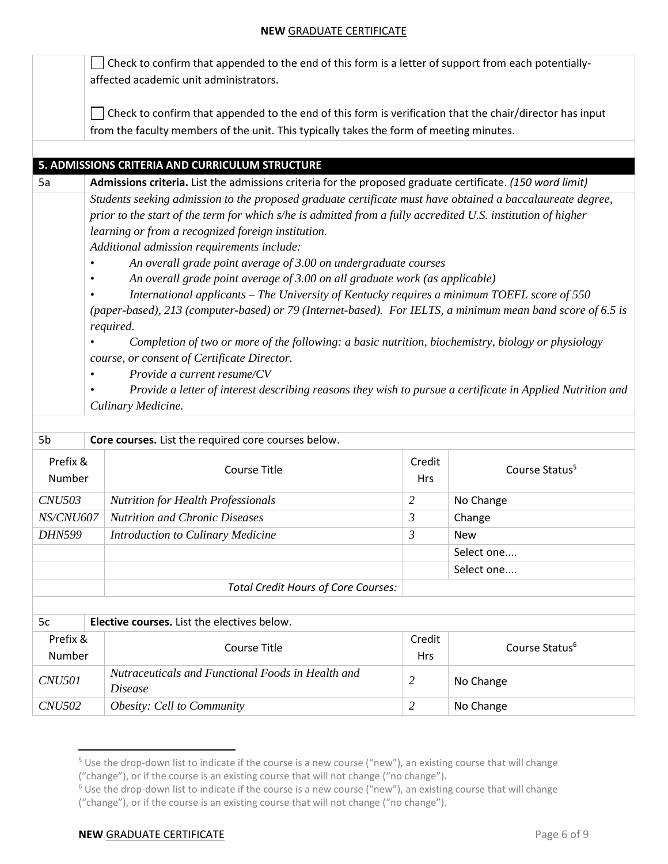$\Box$  Check to confirm that appended to the end of this form is a letter of support from each potentiallyaffected academic unit administrators. Check to confirm that appended to the end of this form is verification that the chair/director has input from the faculty members of the unit. This typically takes the form of meeting minutes.

# **5. ADMISSIONS CRITERIA AND CURRICULUM STRUCTURE**

5a **Admissions criteria.** List the admissions criteria for the proposed graduate certificate. *(150 word limit) Students seeking admission to the proposed graduate certificate must have obtained a baccalaureate degree, prior to the start of the term for which s/he is admitted from a fully accredited U.S. institution of higher learning or from a recognized foreign institution. Additional admission requirements include:* 

*• An overall grade point average of 3.00 on undergraduate courses* 

*• An overall grade point average of 3.00 on all graduate work (as applicable)* 

*• International applicants – The University of Kentucky requires a minimum TOEFL score of 550* 

*(paper-based), 213 (computer-based) or 79 (Internet-based). For IELTS, a minimum mean band score of 6.5 is required.* 

*• Completion of two or more of the following: a basic nutrition, biochemistry, biology or physiology course, or consent of Certificate Director.* 

- *• Provide a current resume/CV*
- *• Provide a letter of interest describing reasons they wish to pursue a certificate in Applied Nutrition and Culinary Medicine.*

| 5b                 | Core courses. List the required core courses below.                 |                      |                            |  |  |  |
|--------------------|---------------------------------------------------------------------|----------------------|----------------------------|--|--|--|
| Prefix &<br>Number | Course Title                                                        | Credit<br><b>Hrs</b> | Course Status <sup>5</sup> |  |  |  |
| <i>CNU503</i>      | <b>Nutrition for Health Professionals</b>                           | 2                    | No Change                  |  |  |  |
| <i>NS/CNU607</i>   | <b>Nutrition and Chronic Diseases</b>                               | 3                    | Change                     |  |  |  |
| <i>DHN599</i>      | Introduction to Culinary Medicine                                   | $\mathfrak{Z}$       | <b>New</b>                 |  |  |  |
|                    |                                                                     |                      | Select one                 |  |  |  |
|                    |                                                                     |                      | Select one                 |  |  |  |
|                    | Total Credit Hours of Core Courses:                                 |                      |                            |  |  |  |
|                    |                                                                     |                      |                            |  |  |  |
| 5c                 | <b>Elective courses.</b> List the electives below.                  |                      |                            |  |  |  |
| Prefix &           | Course Title                                                        | Credit               | Course Status <sup>6</sup> |  |  |  |
| Number             |                                                                     | <b>Hrs</b>           |                            |  |  |  |
| <b>CNU501</b>      | Nutraceuticals and Functional Foods in Health and<br><i>Disease</i> | $\overline{2}$       | No Change                  |  |  |  |
| <i>CNU502</i>      | <i>Obesity: Cell to Community</i>                                   | 2                    | No Change                  |  |  |  |

 $5$  Use the drop-down list to indicate if the course is a new course ("new"), an existing course that will change ("change"), or if the course is an existing course that will not change ("no change").

#### **NEW GRADUATE CERTIFICATE** *Page 6 of 9*

 $6$  Use the drop-down list to indicate if the course is a new course ("new"), an existing course that will change

<sup>(&</sup>quot;change"), or if the course is an existing course that will not change ("no change").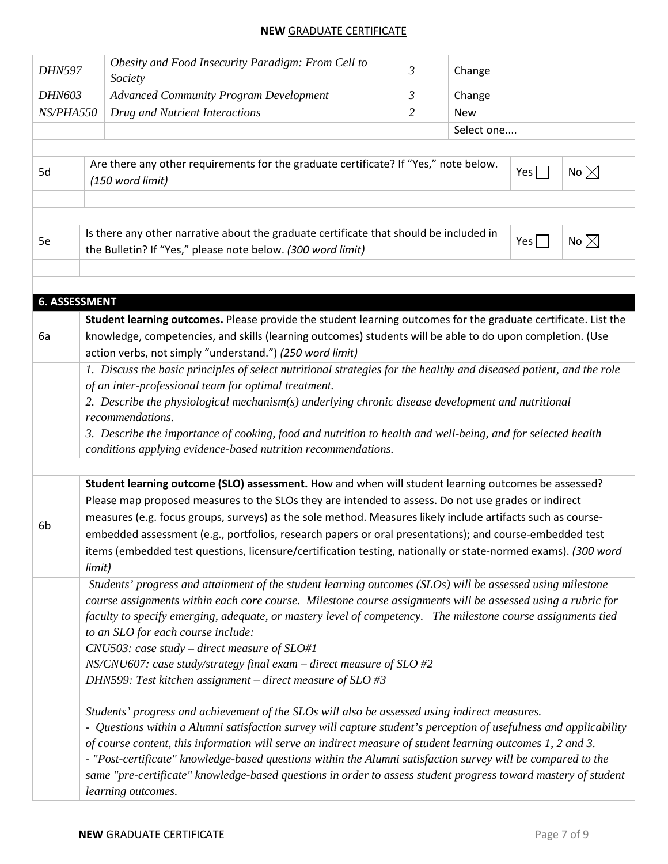| <b>DHN597</b> |                                                                                                                                                                                                                                                                                                                                                                                                                                                                                                                                                                                           | Obesity and Food Insecurity Paradigm: From Cell to<br>Society                                                                                                                                                                                                                                                                                                                                                                                                                                                                                                                | $\mathfrak{Z}$ | Change     |            |                |
|---------------|-------------------------------------------------------------------------------------------------------------------------------------------------------------------------------------------------------------------------------------------------------------------------------------------------------------------------------------------------------------------------------------------------------------------------------------------------------------------------------------------------------------------------------------------------------------------------------------------|------------------------------------------------------------------------------------------------------------------------------------------------------------------------------------------------------------------------------------------------------------------------------------------------------------------------------------------------------------------------------------------------------------------------------------------------------------------------------------------------------------------------------------------------------------------------------|----------------|------------|------------|----------------|
| <b>DHN603</b> |                                                                                                                                                                                                                                                                                                                                                                                                                                                                                                                                                                                           | <b>Advanced Community Program Development</b>                                                                                                                                                                                                                                                                                                                                                                                                                                                                                                                                | $\mathfrak{Z}$ | Change     |            |                |
| NS/PHA550     |                                                                                                                                                                                                                                                                                                                                                                                                                                                                                                                                                                                           | Drug and Nutrient Interactions                                                                                                                                                                                                                                                                                                                                                                                                                                                                                                                                               | $\overline{2}$ | <b>New</b> |            |                |
|               |                                                                                                                                                                                                                                                                                                                                                                                                                                                                                                                                                                                           |                                                                                                                                                                                                                                                                                                                                                                                                                                                                                                                                                                              |                | Select one |            |                |
|               |                                                                                                                                                                                                                                                                                                                                                                                                                                                                                                                                                                                           |                                                                                                                                                                                                                                                                                                                                                                                                                                                                                                                                                                              |                |            |            |                |
| 5d            |                                                                                                                                                                                                                                                                                                                                                                                                                                                                                                                                                                                           | Are there any other requirements for the graduate certificate? If "Yes," note below.<br>(150 word limit)                                                                                                                                                                                                                                                                                                                                                                                                                                                                     |                |            | Yes $\Box$ | No $\boxtimes$ |
|               |                                                                                                                                                                                                                                                                                                                                                                                                                                                                                                                                                                                           |                                                                                                                                                                                                                                                                                                                                                                                                                                                                                                                                                                              |                |            |            |                |
| 5e            |                                                                                                                                                                                                                                                                                                                                                                                                                                                                                                                                                                                           | Is there any other narrative about the graduate certificate that should be included in<br>the Bulletin? If "Yes," please note below. (300 word limit)                                                                                                                                                                                                                                                                                                                                                                                                                        |                |            | Yes        | No $\boxtimes$ |
|               |                                                                                                                                                                                                                                                                                                                                                                                                                                                                                                                                                                                           |                                                                                                                                                                                                                                                                                                                                                                                                                                                                                                                                                                              |                |            |            |                |
|               | <b>6. ASSESSMENT</b>                                                                                                                                                                                                                                                                                                                                                                                                                                                                                                                                                                      |                                                                                                                                                                                                                                                                                                                                                                                                                                                                                                                                                                              |                |            |            |                |
| 6a            |                                                                                                                                                                                                                                                                                                                                                                                                                                                                                                                                                                                           | Student learning outcomes. Please provide the student learning outcomes for the graduate certificate. List the<br>knowledge, competencies, and skills (learning outcomes) students will be able to do upon completion. (Use<br>action verbs, not simply "understand.") (250 word limit)                                                                                                                                                                                                                                                                                      |                |            |            |                |
|               |                                                                                                                                                                                                                                                                                                                                                                                                                                                                                                                                                                                           | 1. Discuss the basic principles of select nutritional strategies for the healthy and diseased patient, and the role<br>of an inter-professional team for optimal treatment.<br>2. Describe the physiological mechanism(s) underlying chronic disease development and nutritional<br>recommendations.<br>3. Describe the importance of cooking, food and nutrition to health and well-being, and for selected health<br>conditions applying evidence-based nutrition recommendations.                                                                                         |                |            |            |                |
|               |                                                                                                                                                                                                                                                                                                                                                                                                                                                                                                                                                                                           |                                                                                                                                                                                                                                                                                                                                                                                                                                                                                                                                                                              |                |            |            |                |
| 6b            | limit)                                                                                                                                                                                                                                                                                                                                                                                                                                                                                                                                                                                    | Student learning outcome (SLO) assessment. How and when will student learning outcomes be assessed?<br>Please map proposed measures to the SLOs they are intended to assess. Do not use grades or indirect<br>measures (e.g. focus groups, surveys) as the sole method. Measures likely include artifacts such as course-<br>embedded assessment (e.g., portfolios, research papers or oral presentations); and course-embedded test<br>items (embedded test questions, licensure/certification testing, nationally or state-normed exams). (300 word                        |                |            |            |                |
|               |                                                                                                                                                                                                                                                                                                                                                                                                                                                                                                                                                                                           | Students' progress and attainment of the student learning outcomes (SLOs) will be assessed using milestone<br>course assignments within each core course. Milestone course assignments will be assessed using a rubric for<br>faculty to specify emerging, adequate, or mastery level of competency. The milestone course assignments tied<br>to an SLO for each course include:<br>$CNU503$ : case study – direct measure of SLO#1<br>$NS/CNU607$ : case study/strategy final exam – direct measure of SLO #2<br>DHN599: Test kitchen assignment – direct measure of SLO #3 |                |            |            |                |
|               | Students' progress and achievement of the SLOs will also be assessed using indirect measures.<br>- Questions within a Alumni satisfaction survey will capture student's perception of usefulness and applicability<br>of course content, this information will serve an indirect measure of student learning outcomes 1, 2 and 3.<br>- "Post-certificate" knowledge-based questions within the Alumni satisfaction survey will be compared to the<br>same "pre-certificate" knowledge-based questions in order to assess student progress toward mastery of student<br>learning outcomes. |                                                                                                                                                                                                                                                                                                                                                                                                                                                                                                                                                                              |                |            |            |                |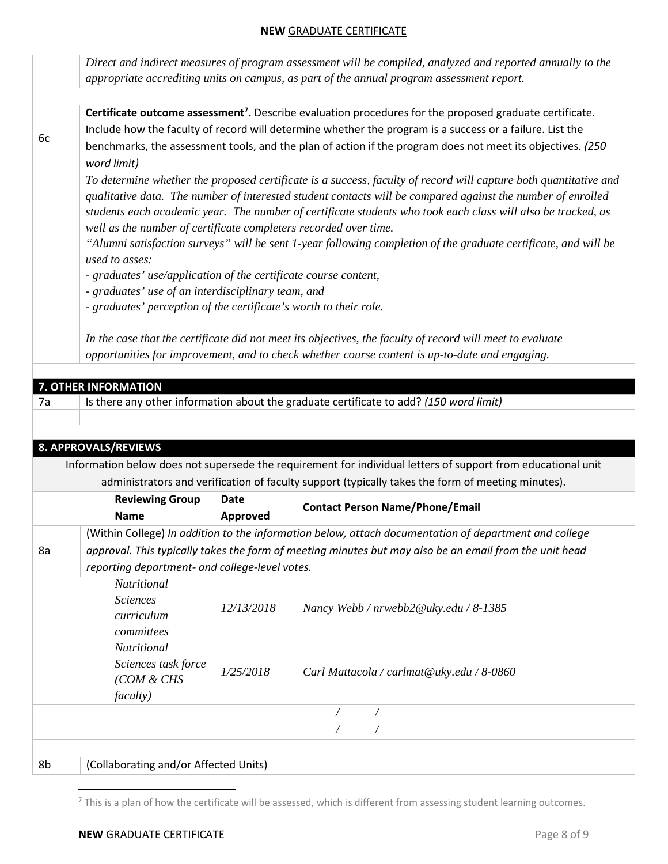|    | Direct and indirect measures of program assessment will be compiled, analyzed and reported annually to the                                                                                                                                                                       |             |                                                                                                                                                                                                                                                                                                                                                                                                                                                                                                                                                                                                                                                                                   |  |  |  |
|----|----------------------------------------------------------------------------------------------------------------------------------------------------------------------------------------------------------------------------------------------------------------------------------|-------------|-----------------------------------------------------------------------------------------------------------------------------------------------------------------------------------------------------------------------------------------------------------------------------------------------------------------------------------------------------------------------------------------------------------------------------------------------------------------------------------------------------------------------------------------------------------------------------------------------------------------------------------------------------------------------------------|--|--|--|
|    | appropriate accrediting units on campus, as part of the annual program assessment report.                                                                                                                                                                                        |             |                                                                                                                                                                                                                                                                                                                                                                                                                                                                                                                                                                                                                                                                                   |  |  |  |
|    |                                                                                                                                                                                                                                                                                  |             |                                                                                                                                                                                                                                                                                                                                                                                                                                                                                                                                                                                                                                                                                   |  |  |  |
|    |                                                                                                                                                                                                                                                                                  |             | Certificate outcome assessment <sup>7</sup> . Describe evaluation procedures for the proposed graduate certificate.                                                                                                                                                                                                                                                                                                                                                                                                                                                                                                                                                               |  |  |  |
|    |                                                                                                                                                                                                                                                                                  |             | Include how the faculty of record will determine whether the program is a success or a failure. List the                                                                                                                                                                                                                                                                                                                                                                                                                                                                                                                                                                          |  |  |  |
| 6c | benchmarks, the assessment tools, and the plan of action if the program does not meet its objectives. (250                                                                                                                                                                       |             |                                                                                                                                                                                                                                                                                                                                                                                                                                                                                                                                                                                                                                                                                   |  |  |  |
|    | word limit)                                                                                                                                                                                                                                                                      |             |                                                                                                                                                                                                                                                                                                                                                                                                                                                                                                                                                                                                                                                                                   |  |  |  |
|    | well as the number of certificate completers recorded over time.<br>used to asses:<br>- graduates' use/application of the certificate course content,<br>- graduates' use of an interdisciplinary team, and<br>- graduates' perception of the certificate's worth to their role. |             | To determine whether the proposed certificate is a success, faculty of record will capture both quantitative and<br>qualitative data. The number of interested student contacts will be compared against the number of enrolled<br>students each academic year. The number of certificate students who took each class will also be tracked, as<br>"Alumni satisfaction surveys" will be sent 1-year following completion of the graduate certificate, and will be<br>In the case that the certificate did not meet its objectives, the faculty of record will meet to evaluate<br>opportunities for improvement, and to check whether course content is up-to-date and engaging. |  |  |  |
|    |                                                                                                                                                                                                                                                                                  |             |                                                                                                                                                                                                                                                                                                                                                                                                                                                                                                                                                                                                                                                                                   |  |  |  |
|    | 7. OTHER INFORMATION                                                                                                                                                                                                                                                             |             |                                                                                                                                                                                                                                                                                                                                                                                                                                                                                                                                                                                                                                                                                   |  |  |  |
| 7a |                                                                                                                                                                                                                                                                                  |             | Is there any other information about the graduate certificate to add? (150 word limit)                                                                                                                                                                                                                                                                                                                                                                                                                                                                                                                                                                                            |  |  |  |
|    |                                                                                                                                                                                                                                                                                  |             |                                                                                                                                                                                                                                                                                                                                                                                                                                                                                                                                                                                                                                                                                   |  |  |  |
|    |                                                                                                                                                                                                                                                                                  |             |                                                                                                                                                                                                                                                                                                                                                                                                                                                                                                                                                                                                                                                                                   |  |  |  |
|    |                                                                                                                                                                                                                                                                                  |             |                                                                                                                                                                                                                                                                                                                                                                                                                                                                                                                                                                                                                                                                                   |  |  |  |
|    | 8. APPROVALS/REVIEWS                                                                                                                                                                                                                                                             |             |                                                                                                                                                                                                                                                                                                                                                                                                                                                                                                                                                                                                                                                                                   |  |  |  |
|    |                                                                                                                                                                                                                                                                                  |             | Information below does not supersede the requirement for individual letters of support from educational unit                                                                                                                                                                                                                                                                                                                                                                                                                                                                                                                                                                      |  |  |  |
|    |                                                                                                                                                                                                                                                                                  |             | administrators and verification of faculty support (typically takes the form of meeting minutes).                                                                                                                                                                                                                                                                                                                                                                                                                                                                                                                                                                                 |  |  |  |
|    | <b>Reviewing Group</b>                                                                                                                                                                                                                                                           | <b>Date</b> |                                                                                                                                                                                                                                                                                                                                                                                                                                                                                                                                                                                                                                                                                   |  |  |  |
|    | <b>Name</b>                                                                                                                                                                                                                                                                      | Approved    | <b>Contact Person Name/Phone/Email</b>                                                                                                                                                                                                                                                                                                                                                                                                                                                                                                                                                                                                                                            |  |  |  |
|    |                                                                                                                                                                                                                                                                                  |             | (Within College) In addition to the information below, attach documentation of department and college                                                                                                                                                                                                                                                                                                                                                                                                                                                                                                                                                                             |  |  |  |
|    |                                                                                                                                                                                                                                                                                  |             |                                                                                                                                                                                                                                                                                                                                                                                                                                                                                                                                                                                                                                                                                   |  |  |  |
| 8a |                                                                                                                                                                                                                                                                                  |             | approval. This typically takes the form of meeting minutes but may also be an email from the unit head                                                                                                                                                                                                                                                                                                                                                                                                                                                                                                                                                                            |  |  |  |
|    | reporting department- and college-level votes.                                                                                                                                                                                                                                   |             |                                                                                                                                                                                                                                                                                                                                                                                                                                                                                                                                                                                                                                                                                   |  |  |  |
|    | Nutritional                                                                                                                                                                                                                                                                      |             |                                                                                                                                                                                                                                                                                                                                                                                                                                                                                                                                                                                                                                                                                   |  |  |  |
|    | <b>Sciences</b>                                                                                                                                                                                                                                                                  | 12/13/2018  | Nancy Webb / nrwebb2@uky.edu / 8-1385                                                                                                                                                                                                                                                                                                                                                                                                                                                                                                                                                                                                                                             |  |  |  |
|    | curriculum                                                                                                                                                                                                                                                                       |             |                                                                                                                                                                                                                                                                                                                                                                                                                                                                                                                                                                                                                                                                                   |  |  |  |
|    | committees                                                                                                                                                                                                                                                                       |             |                                                                                                                                                                                                                                                                                                                                                                                                                                                                                                                                                                                                                                                                                   |  |  |  |
|    | Nutritional<br>Sciences task force<br>(COM & CHS                                                                                                                                                                                                                                 | 1/25/2018   | Carl Mattacola / carlmat@uky.edu / 8-0860                                                                                                                                                                                                                                                                                                                                                                                                                                                                                                                                                                                                                                         |  |  |  |
|    | <i>faculty</i> )                                                                                                                                                                                                                                                                 |             |                                                                                                                                                                                                                                                                                                                                                                                                                                                                                                                                                                                                                                                                                   |  |  |  |
|    |                                                                                                                                                                                                                                                                                  |             | Γ<br>Τ                                                                                                                                                                                                                                                                                                                                                                                                                                                                                                                                                                                                                                                                            |  |  |  |
|    |                                                                                                                                                                                                                                                                                  |             | Γ                                                                                                                                                                                                                                                                                                                                                                                                                                                                                                                                                                                                                                                                                 |  |  |  |
| 8b | (Collaborating and/or Affected Units)                                                                                                                                                                                                                                            |             |                                                                                                                                                                                                                                                                                                                                                                                                                                                                                                                                                                                                                                                                                   |  |  |  |

 $7$  This is a plan of how the certificate will be assessed, which is different from assessing student learning outcomes.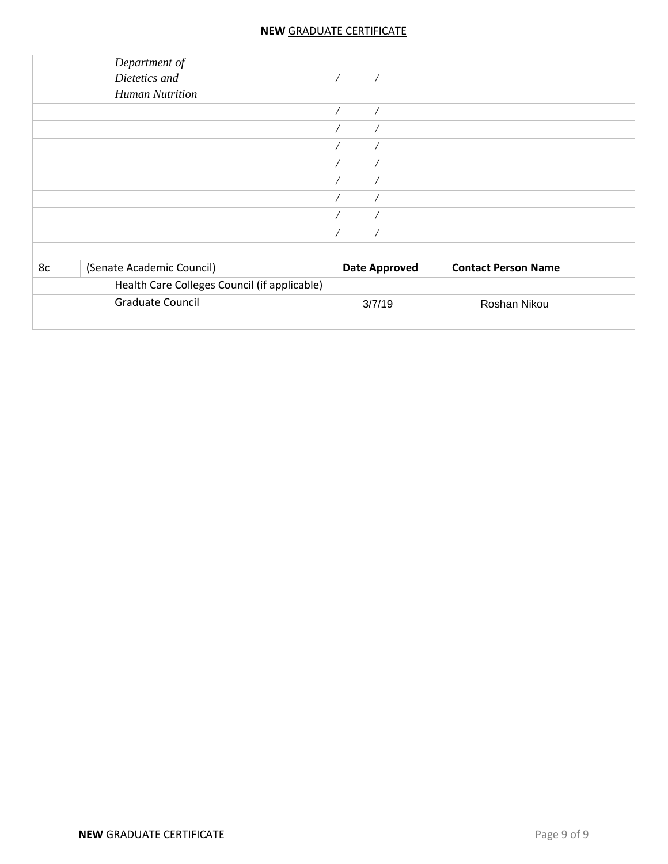|    | Department of<br>Dietetics and<br><b>Human Nutrition</b> | $\sqrt{2}$               |                            |
|----|----------------------------------------------------------|--------------------------|----------------------------|
|    |                                                          | $\sqrt{2}$<br>$\sqrt{2}$ |                            |
|    |                                                          |                          |                            |
|    |                                                          |                          |                            |
|    |                                                          |                          |                            |
|    |                                                          |                          |                            |
|    |                                                          |                          |                            |
|    |                                                          |                          |                            |
|    |                                                          |                          |                            |
| 8c | (Senate Academic Council)                                | <b>Date Approved</b>     | <b>Contact Person Name</b> |
|    | Health Care Colleges Council (if applicable)             |                          |                            |
|    | <b>Graduate Council</b>                                  | 3/7/19                   | Roshan Nikou               |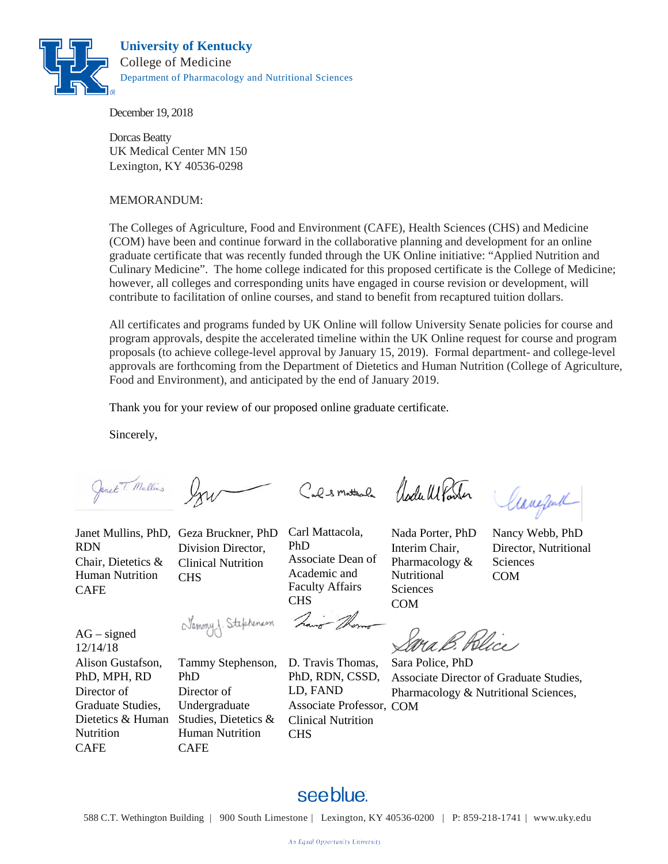

December 19, 2018

Dorcas Beatty UK Medical Center MN 150 Lexington, KY 40536-0298

#### MEMORANDUM:

The Colleges of Agriculture, Food and Environment (CAFE), Health Sciences (CHS) and Medicine (COM) have been and continue forward in the collaborative planning and development for an online graduate certificate that was recently funded through the UK Online initiative: "Applied Nutrition and Culinary Medicine". The home college indicated for this proposed certificate is the College of Medicine; however, all colleges and corresponding units have engaged in course revision or development, will contribute to facilitation of online courses, and stand to benefit from recaptured tuition dollars.

All certificates and programs funded by UK Online will follow University Senate policies for course and program approvals, despite the accelerated timeline within the UK Online request for course and program proposals (to achieve college-level approval by January 15, 2019). Formal department- and college-level approvals are forthcoming from the Department of Dietetics and Human Nutrition (College of Agriculture, Food and Environment), and anticipated by the end of January 2019.

Thank you for your review of our proposed online graduate certificate.

Sincerely,

Janet T. Mullins

RDN Chair, Dietetics & Human Nutrition **CAFE** 

Janet Mullins, PhD, Geza Bruckner, PhD Division Director, Clinical Nutrition CHS

Carl Mattacola, PhD Associate Dean of Academic and Faculty Affairs CHS

Cals matter le Clarle Monter

Nada Porter, PhD Interim Chair, Pharmacology & Nutritional **Sciences** 

Careful

Nancy Webb, PhD Director, Nutritional **Sciences** COM

Sammy J. Stephenson

PhD

CAFE

Director of Undergraduate

Human Nutrition

COM

Ma B. Blice

12/14/18 Alison Gustafson, PhD, MPH, RD Director of Graduate Studies, Dietetics & Human Studies, Dietetics & Nutrition CAFE

 $AG$  – signed

Tammy Stephenson, D. Travis Thomas, PhD, RDN, CSSD, LD, FAND Associate Professor, COM Clinical Nutrition CHS

Sara Police, PhD Associate Director of Graduate Studies, Pharmacology & Nutritional Sciences,

# see blue.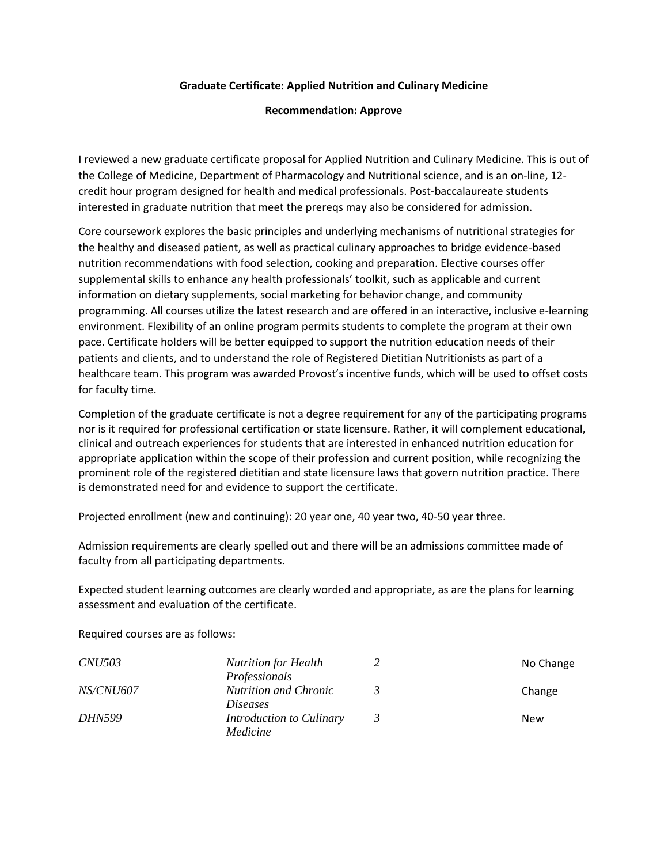#### **Graduate Certificate: Applied Nutrition and Culinary Medicine**

#### **Recommendation: Approve**

I reviewed a new graduate certificate proposal for Applied Nutrition and Culinary Medicine. This is out of the College of Medicine, Department of Pharmacology and Nutritional science, and is an on-line, 12 credit hour program designed for health and medical professionals. Post-baccalaureate students interested in graduate nutrition that meet the prereqs may also be considered for admission.

Core coursework explores the basic principles and underlying mechanisms of nutritional strategies for the healthy and diseased patient, as well as practical culinary approaches to bridge evidence-based nutrition recommendations with food selection, cooking and preparation. Elective courses offer supplemental skills to enhance any health professionals' toolkit, such as applicable and current information on dietary supplements, social marketing for behavior change, and community programming. All courses utilize the latest research and are offered in an interactive, inclusive e-learning environment. Flexibility of an online program permits students to complete the program at their own pace. Certificate holders will be better equipped to support the nutrition education needs of their patients and clients, and to understand the role of Registered Dietitian Nutritionists as part of a healthcare team. This program was awarded Provost's incentive funds, which will be used to offset costs for faculty time.

Completion of the graduate certificate is not a degree requirement for any of the participating programs nor is it required for professional certification or state licensure. Rather, it will complement educational, clinical and outreach experiences for students that are interested in enhanced nutrition education for appropriate application within the scope of their profession and current position, while recognizing the prominent role of the registered dietitian and state licensure laws that govern nutrition practice. There is demonstrated need for and evidence to support the certificate.

Projected enrollment (new and continuing): 20 year one, 40 year two, 40-50 year three.

Admission requirements are clearly spelled out and there will be an admissions committee made of faculty from all participating departments.

Expected student learning outcomes are clearly worded and appropriate, as are the plans for learning assessment and evaluation of the certificate.

Required courses are as follows:

| <i>CNU503</i>    | <b>Nutrition for Health</b>  | No Change |
|------------------|------------------------------|-----------|
|                  | Professionals                |           |
| <i>NS/CNU607</i> | <b>Nutrition and Chronic</b> | Change    |
|                  | <i>Diseases</i>              |           |
| <i>DHN599</i>    | Introduction to Culinary     | New       |
|                  | Medicine                     |           |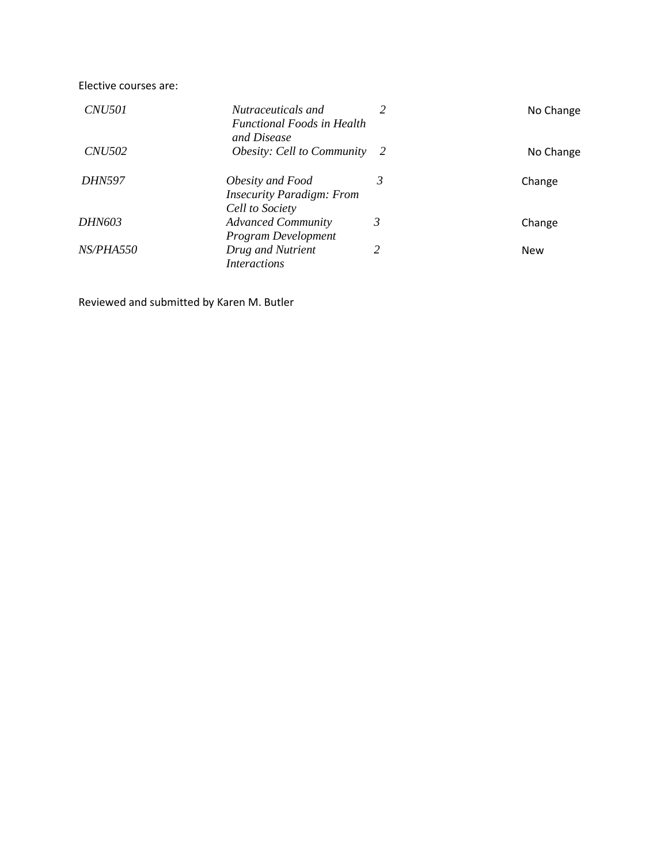Elective courses are:

| <i>CNU501</i>    | Nutraceuticals and<br><b>Functional Foods in Health</b><br>and Disease  |   | No Change  |
|------------------|-------------------------------------------------------------------------|---|------------|
| <i>CNU502</i>    | <i>Obesity: Cell to Community</i> 2                                     |   | No Change  |
| <b>DHN597</b>    | Obesity and Food<br><b>Insecurity Paradigm: From</b><br>Cell to Society | 3 | Change     |
| <i>DHN603</i>    | <b>Advanced Community</b><br>Program Development                        | 3 | Change     |
| <i>NS/PHA550</i> | Drug and Nutrient<br><i>Interactions</i>                                | 2 | <b>New</b> |

Reviewed and submitted by Karen M. Butler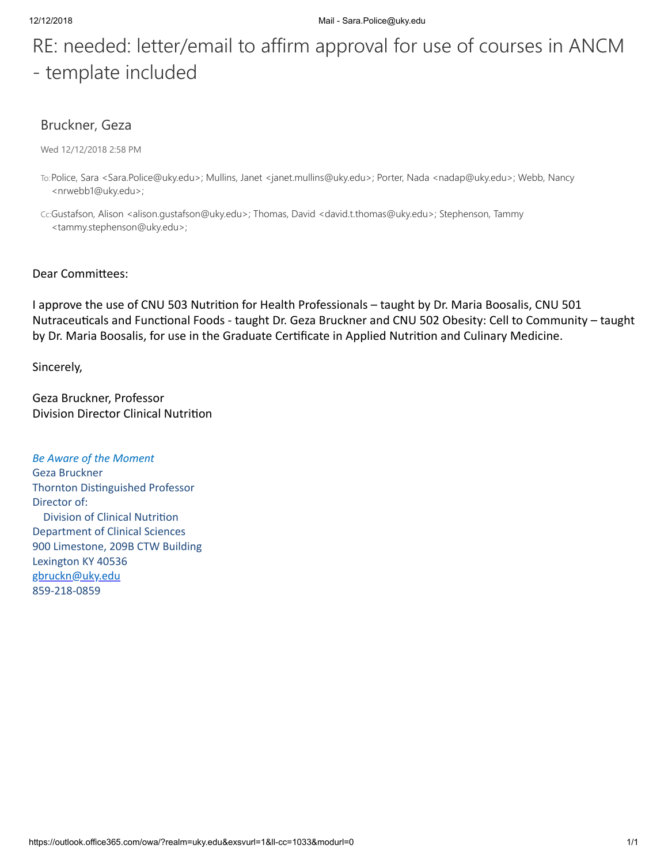# RE: needed: letter/email to affirm approval for use of courses in ANCM - template included

# Bruckner, Geza

Wed 12/12/2018 2:58 PM

- To:Police, Sara <Sara.Police@uky.edu>; Mullins, Janet <janet.mullins@uky.edu>; Porter, Nada <nadap@uky.edu>; Webb, Nancy <nrwebb1@uky.edu>;
- Cc:Gustafson, Alison <alison.gustafson@uky.edu>; Thomas, David <david.t.thomas@uky.edu>; Stephenson, Tammy <tammy.stephenson@uky.edu>;

#### Dear Committees:

I approve the use of CNU 503 Nutrition for Health Professionals - taught by Dr. Maria Boosalis, CNU 501 Nutraceuticals and Functional Foods - taught Dr. Geza Bruckner and CNU 502 Obesity: Cell to Community - taught by Dr. Maria Boosalis, for use in the Graduate Certificate in Applied Nutrition and Culinary Medicine.

Sincerely,

Geza Bruckner, Professor Division Director Clinical Nutrition

*Be Aware of the Moment* Geza Bruckner Thornton Distinguished Professor Director of: Division of Clinical Nutrition Department of Clinical Sciences 900 Limestone, 209B CTW Building Lexington KY 40536 [gbruckn@uky.edu](mailto:gbruckn@uky.edu) 859-218-0859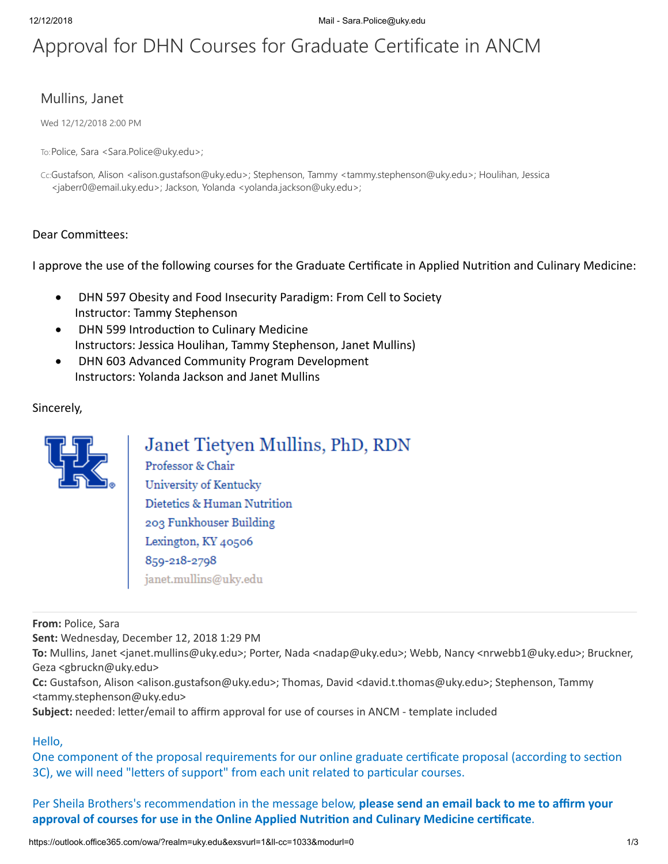# Approval for DHN Courses for Graduate Certificate in ANCM

# Mullins, Janet

Wed 12/12/2018 2:00 PM

To:Police, Sara <Sara.Police@uky.edu>;

Cc:Gustafson, Alison <alison.gustafson@uky.edu>; Stephenson, Tammy <tammy.stephenson@uky.edu>; Houlihan, Jessica <jaberr0@email.uky.edu>; Jackson, Yolanda <yolanda.jackson@uky.edu>;

### Dear Committees:

I approve the use of the following courses for the Graduate Certificate in Applied Nutrition and Culinary Medicine:

- · DHN 597 Obesity and Food Insecurity Paradigm: From Cell to Society Instructor: Tammy Stephenson
- DHN 599 Introduction to Culinary Medicine Instructors: Jessica Houlihan, Tammy Stephenson, Janet Mullins)
- · DHN 603 Advanced Community Program Development Instructors: Yolanda Jackson and Janet Mullins

### Sincerely,



# Janet Tietyen Mullins, PhD, RDN

Professor & Chair University of Kentucky Dietetics & Human Nutrition 203 Funkhouser Building Lexington, KY 40506 859-218-2798 janet.mullins@uky.edu

**From:** Police, Sara

**Sent:** Wednesday, December 12, 2018 1:29 PM

**To:** Mullins, Janet <janet.mullins@uky.edu>; Porter, Nada <nadap@uky.edu>; Webb, Nancy <nrwebb1@uky.edu>; Bruckner, Geza <gbruckn@uky.edu>

**Cc:** Gustafson, Alison <alison.gustafson@uky.edu>; Thomas, David <david.t.thomas@uky.edu>; Stephenson, Tammy <tammy.stephenson@uky.edu>

Subject: needed: letter/email to affirm approval for use of courses in ANCM - template included

#### Hello,

One component of the proposal requirements for our online graduate certificate proposal (according to section 3C), we will need "letters of support" from each unit related to particular courses.

Per Sheila Brothers's recommendation in the message below, please send an email back to me to affirm your approval of courses for use in the Online Applied Nutrition and Culinary Medicine certificate.